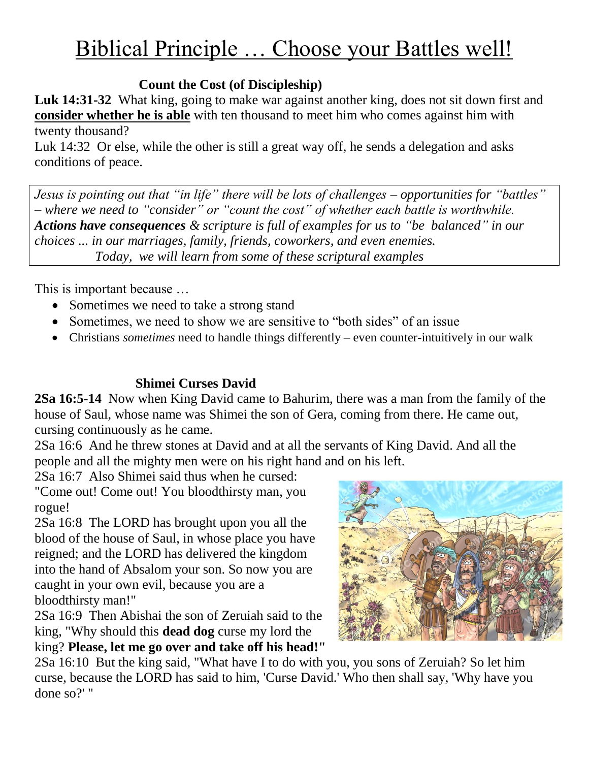# Biblical Principle … Choose your Battles well!

# **Count the Cost (of Discipleship)**

**Luk 14:31-32** What king, going to make war against another king, does not sit down first and **consider whether he is able** with ten thousand to meet him who comes against him with twenty thousand?

Luk 14:32 Or else, while the other is still a great way off, he sends a delegation and asks conditions of peace.

*Jesus is pointing out that "in life" there will be lots of challenges – opportunities for "battles" – where we need to "consider" or "count the cost" of whether each battle is worthwhile. Actions have consequences & scripture is full of examples for us to "be balanced" in our choices ... in our marriages, family, friends, coworkers, and even enemies. Today, we will learn from some of these scriptural examples*

This is important because …

- Sometimes we need to take a strong stand
- Sometimes, we need to show we are sensitive to "both sides" of an issue
- Christians *sometimes* need to handle things differently even counter-intuitively in our walk

# **Shimei Curses David**

**2Sa 16:5-14** Now when King David came to Bahurim, there was a man from the family of the house of Saul, whose name was Shimei the son of Gera, coming from there. He came out, cursing continuously as he came.

2Sa 16:6 And he threw stones at David and at all the servants of King David. And all the people and all the mighty men were on his right hand and on his left.

2Sa 16:7 Also Shimei said thus when he cursed:

"Come out! Come out! You bloodthirsty man, you rogue!

2Sa 16:8 The LORD has brought upon you all the blood of the house of Saul, in whose place you have reigned; and the LORD has delivered the kingdom into the hand of Absalom your son. So now you are caught in your own evil, because you are a bloodthirsty man!"

2Sa 16:9 Then Abishai the son of Zeruiah said to the king, "Why should this **dead dog** curse my lord the king? **Please, let me go over and take off his head!"**



2Sa 16:10 But the king said, "What have I to do with you, you sons of Zeruiah? So let him curse, because the LORD has said to him, 'Curse David.' Who then shall say, 'Why have you done so?' "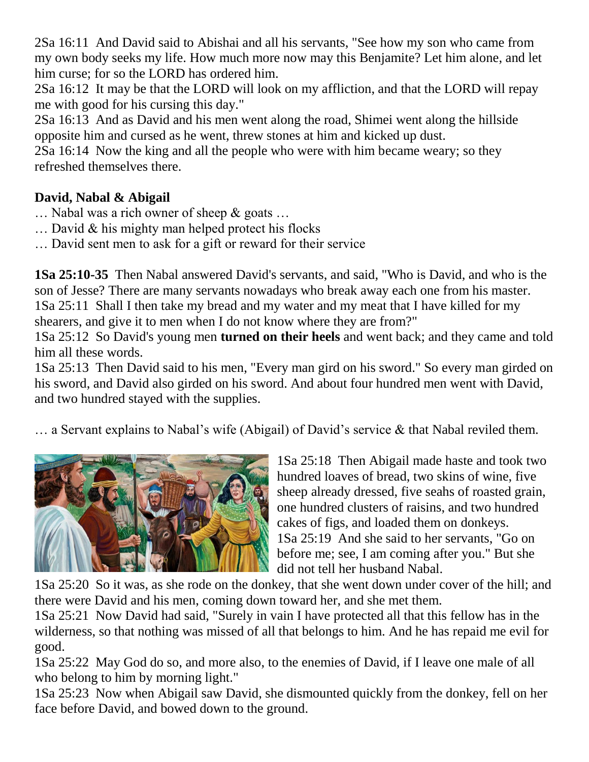2Sa 16:11 And David said to Abishai and all his servants, "See how my son who came from my own body seeks my life. How much more now may this Benjamite? Let him alone, and let him curse; for so the LORD has ordered him.

2Sa 16:12 It may be that the LORD will look on my affliction, and that the LORD will repay me with good for his cursing this day."

2Sa 16:13 And as David and his men went along the road, Shimei went along the hillside opposite him and cursed as he went, threw stones at him and kicked up dust.

2Sa 16:14 Now the king and all the people who were with him became weary; so they refreshed themselves there.

# **David, Nabal & Abigail**

- $\ldots$  Nabal was a rich owner of sheep & goats  $\ldots$
- … David & his mighty man helped protect his flocks
- … David sent men to ask for a gift or reward for their service

**1Sa 25:10-35** Then Nabal answered David's servants, and said, "Who is David, and who is the son of Jesse? There are many servants nowadays who break away each one from his master. 1Sa 25:11 Shall I then take my bread and my water and my meat that I have killed for my shearers, and give it to men when I do not know where they are from?"

1Sa 25:12 So David's young men **turned on their heels** and went back; and they came and told him all these words.

1Sa 25:13 Then David said to his men, "Every man gird on his sword." So every man girded on his sword, and David also girded on his sword. And about four hundred men went with David, and two hundred stayed with the supplies.

… a Servant explains to Nabal"s wife (Abigail) of David"s service & that Nabal reviled them.



1Sa 25:18 Then Abigail made haste and took two hundred loaves of bread, two skins of wine, five sheep already dressed, five seahs of roasted grain, one hundred clusters of raisins, and two hundred cakes of figs, and loaded them on donkeys. 1Sa 25:19 And she said to her servants, "Go on before me; see, I am coming after you." But she did not tell her husband Nabal.

1Sa 25:20 So it was, as she rode on the donkey, that she went down under cover of the hill; and there were David and his men, coming down toward her, and she met them.

1Sa 25:21 Now David had said, "Surely in vain I have protected all that this fellow has in the wilderness, so that nothing was missed of all that belongs to him. And he has repaid me evil for good.

1Sa 25:22 May God do so, and more also, to the enemies of David, if I leave one male of all who belong to him by morning light."

1Sa 25:23 Now when Abigail saw David, she dismounted quickly from the donkey, fell on her face before David, and bowed down to the ground.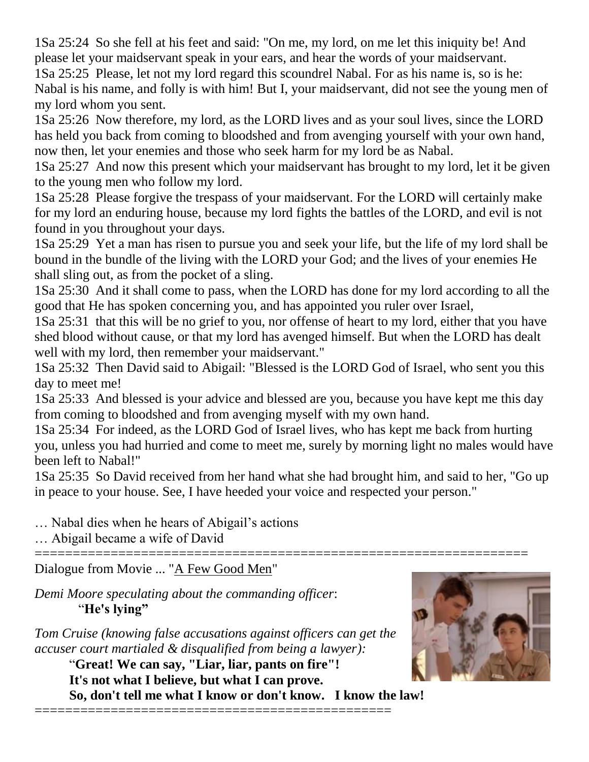1Sa 25:24 So she fell at his feet and said: "On me, my lord, on me let this iniquity be! And please let your maidservant speak in your ears, and hear the words of your maidservant. 1Sa 25:25 Please, let not my lord regard this scoundrel Nabal. For as his name is, so is he: Nabal is his name, and folly is with him! But I, your maidservant, did not see the young men of

my lord whom you sent. 1Sa 25:26 Now therefore, my lord, as the LORD lives and as your soul lives, since the LORD has held you back from coming to bloodshed and from avenging yourself with your own hand, now then, let your enemies and those who seek harm for my lord be as Nabal.

1Sa 25:27 And now this present which your maidservant has brought to my lord, let it be given to the young men who follow my lord.

1Sa 25:28 Please forgive the trespass of your maidservant. For the LORD will certainly make for my lord an enduring house, because my lord fights the battles of the LORD, and evil is not found in you throughout your days.

1Sa 25:29 Yet a man has risen to pursue you and seek your life, but the life of my lord shall be bound in the bundle of the living with the LORD your God; and the lives of your enemies He shall sling out, as from the pocket of a sling.

1Sa 25:30 And it shall come to pass, when the LORD has done for my lord according to all the good that He has spoken concerning you, and has appointed you ruler over Israel,

1Sa 25:31 that this will be no grief to you, nor offense of heart to my lord, either that you have shed blood without cause, or that my lord has avenged himself. But when the LORD has dealt well with my lord, then remember your maidservant."

1Sa 25:32 Then David said to Abigail: "Blessed is the LORD God of Israel, who sent you this day to meet me!

1Sa 25:33 And blessed is your advice and blessed are you, because you have kept me this day from coming to bloodshed and from avenging myself with my own hand.

1Sa 25:34 For indeed, as the LORD God of Israel lives, who has kept me back from hurting you, unless you had hurried and come to meet me, surely by morning light no males would have been left to Nabal!"

1Sa 25:35 So David received from her hand what she had brought him, and said to her, "Go up in peace to your house. See, I have heeded your voice and respected your person."

=================================================================

… Nabal dies when he hears of Abigail"s actions

… Abigail became a wife of David

Dialogue from Movie ... "A Few Good Men"

*Demi Moore speculating about the commanding officer*: "**He's lying"**

*Tom Cruise (knowing false accusations against officers can get the accuser court martialed & disqualified from being a lawyer):*

"**Great! We can say, "Liar, liar, pants on fire"! It's not what I believe, but what I can prove. So, don't tell me what I know or don't know. I know the law!**



===============================================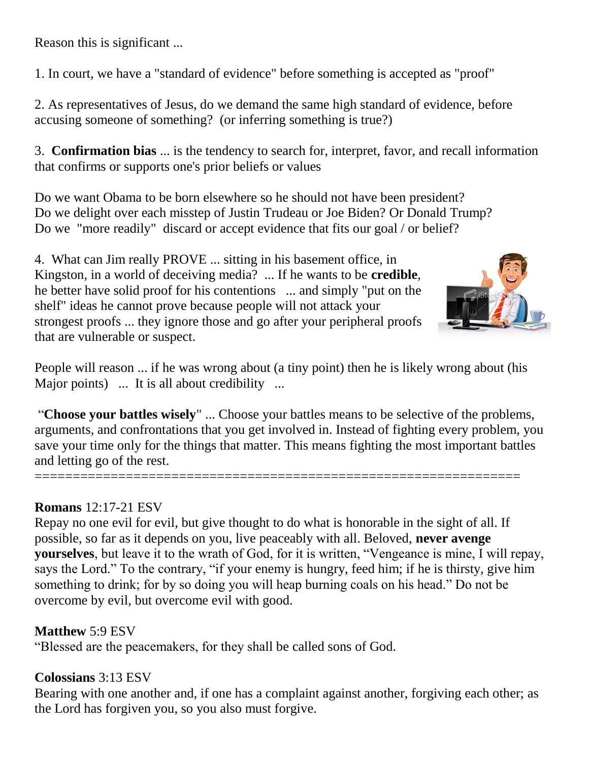Reason this is significant ...

1. In court, we have a "standard of evidence" before something is accepted as "proof"

2. As representatives of Jesus, do we demand the same high standard of evidence, before accusing someone of something? (or inferring something is true?)

3. **Confirmation bias** ... is the tendency to search for, interpret, favor, and recall information that confirms or supports one's prior beliefs or values

Do we want Obama to be born elsewhere so he should not have been president? Do we delight over each misstep of Justin Trudeau or Joe Biden? Or Donald Trump? Do we "more readily" discard or accept evidence that fits our goal / or belief?

4. What can Jim really PROVE ... sitting in his basement office, in Kingston, in a world of deceiving media? ... If he wants to be **credible**, he better have solid proof for his contentions ... and simply "put on the shelf" ideas he cannot prove because people will not attack your strongest proofs ... they ignore those and go after your peripheral proofs that are vulnerable or suspect.



People will reason ... if he was wrong about (a tiny point) then he is likely wrong about (his Major points) ... It is all about credibility ...

"**Choose your battles wisely**" ... Choose your battles means to be selective of the problems, arguments, and confrontations that you get involved in. Instead of fighting every problem, you save your time only for the things that matter. This means fighting the most important battles and letting go of the rest.

## **Romans** 12:17-21 ESV

================================================================

Repay no one evil for evil, but give thought to do what is honorable in the sight of all. If possible, so far as it depends on you, live peaceably with all. Beloved, **never avenge yourselves**, but leave it to the wrath of God, for it is written, "Vengeance is mine, I will repay, says the Lord." To the contrary, "if your enemy is hungry, feed him; if he is thirsty, give him something to drink; for by so doing you will heap burning coals on his head." Do not be overcome by evil, but overcome evil with good.

# **Matthew** 5:9 ESV

"Blessed are the peacemakers, for they shall be called sons of God.

## **Colossians** 3:13 ESV

Bearing with one another and, if one has a complaint against another, forgiving each other; as the Lord has forgiven you, so you also must forgive.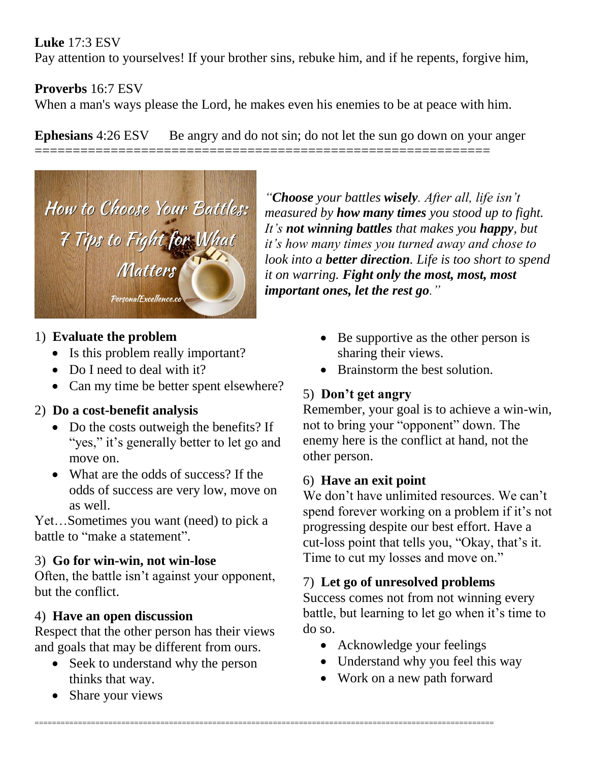# **Luke** 17:3 ESV

Pay attention to yourselves! If your brother sins, rebuke him, and if he repents, forgive him,

# **Proverbs** 16:7 ESV

When a man's ways please the Lord, he makes even his enemies to be at peace with him.

**Ephesians** 4:26 ESV Be angry and do not sin; do not let the sun go down on your anger ============================================================



# 1) **Evaluate the problem**

- Is this problem really important?
- Do I need to deal with it?
- Can my time be better spent elsewhere?

# 2) **Do a cost-benefit analysis**

- Do the costs outweigh the benefits? If "yes," it's generally better to let go and move on.
- What are the odds of success? If the odds of success are very low, move on as well.

Yet…Sometimes you want (need) to pick a battle to "make a statement".

# 3) **Go for win-win, not win-lose**

Often, the battle isn"t against your opponent, but the conflict.

## 4) **Have an open discussion**

Respect that the other person has their views and goals that may be different from ours.

• Seek to understand why the person thinks that way.

==========================================================================================================

• Share your views

*"Choose your battles wisely. After all, life isn't measured by how many times you stood up to fight. It's not winning battles that makes you happy, but it's how many times you turned away and chose to look into a better direction. Life is too short to spend it on warring. Fight only the most, most, most important ones, let the rest go."*

- Be supportive as the other person is sharing their views.
- Brainstorm the best solution.

# 5) **Don't get angry**

Remember, your goal is to achieve a win-win, not to bring your "opponent" down. The enemy here is the conflict at hand, not the other person.

# 6) **Have an exit point**

We don't have unlimited resources. We can't spend forever working on a problem if it's not progressing despite our best effort. Have a cut-loss point that tells you, "Okay, that's it. Time to cut my losses and move on."

# 7) **Let go of unresolved problems**

Success comes not from not winning every battle, but learning to let go when it's time to do so.

- Acknowledge your feelings
- Understand why you feel this way
- Work on a new path forward